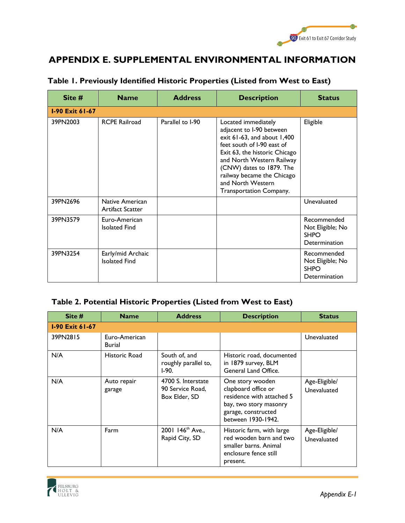

# **APPENDIX E. SUPPLEMENTAL ENVIRONMENTAL INFORMATION**

| Site #                 | <b>Name</b>                                | <b>Address</b>   | <b>Description</b>                                                                                                                                                                                                                                                                        | <b>Status</b>                                                   |
|------------------------|--------------------------------------------|------------------|-------------------------------------------------------------------------------------------------------------------------------------------------------------------------------------------------------------------------------------------------------------------------------------------|-----------------------------------------------------------------|
| <b>I-90 Exit 61-67</b> |                                            |                  |                                                                                                                                                                                                                                                                                           |                                                                 |
| 39PN2003               | <b>RCPE Railroad</b>                       | Parallel to I-90 | Located immediately<br>adjacent to I-90 between<br>exit $61-63$ , and about $1,400$<br>feet south of I-90 east of<br>Exit 63, the historic Chicago<br>and North Western Railway<br>(CNW) dates to 1879. The<br>railway became the Chicago<br>and North Western<br>Transportation Company. | Eligible                                                        |
| 39PN2696               | Native American<br><b>Artifact Scatter</b> |                  |                                                                                                                                                                                                                                                                                           | Unevaluated                                                     |
| 39PN3579               | Euro-American<br><b>Isolated Find</b>      |                  |                                                                                                                                                                                                                                                                                           | Recommended<br>Not Eligible; No<br><b>SHPO</b><br>Determination |
| 39PN3254               | Early/mid Archaic<br><b>Isolated Find</b>  |                  |                                                                                                                                                                                                                                                                                           | Recommended<br>Not Eligible; No<br><b>SHPO</b><br>Determination |

### **Table 1. Previously Identified Historic Properties (Listed from West to East)**

| Site $#$               | <b>Name</b>             | <b>Address</b>                                          | <b>Description</b>                                                                                                                          | <b>Status</b>                |
|------------------------|-------------------------|---------------------------------------------------------|---------------------------------------------------------------------------------------------------------------------------------------------|------------------------------|
| <b>1-90 Exit 61-67</b> |                         |                                                         |                                                                                                                                             |                              |
| 39PN2815               | Euro-American<br>Burial |                                                         |                                                                                                                                             | Unevaluated                  |
| N/A                    | Historic Road           | South of, and<br>roughly parallel to,<br>$I-90.$        | Historic road, documented<br>in 1879 survey, BLM<br>General Land Office.                                                                    |                              |
| N/A                    | Auto repair<br>garage   | 4700 S. Interstate<br>90 Service Road.<br>Box Elder, SD | One story wooden<br>clapboard office or<br>residence with attached 5<br>bay, two story masonry<br>garage, constructed<br>between 1930-1942. | Age-Eligible/<br>Unevaluated |
| N/A                    | Farm                    | 2001 146 <sup>th</sup> Ave.,<br>Rapid City, SD          | Historic farm, with large<br>red wooden barn and two<br>smaller barns. Animal<br>enclosure fence still<br>present.                          | Age-Eligible/<br>Unevaluated |

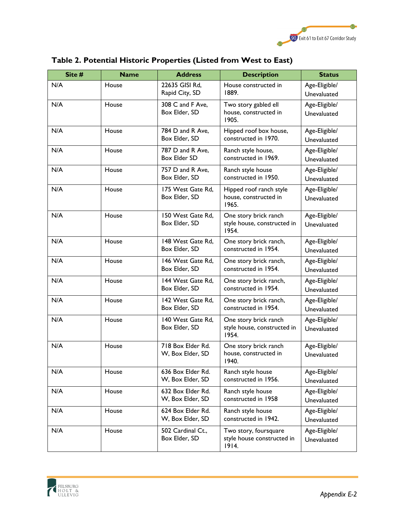

| Site # | <b>Name</b> | <b>Address</b>                          | <b>Description</b>                                            | <b>Status</b>                |
|--------|-------------|-----------------------------------------|---------------------------------------------------------------|------------------------------|
| N/A    | House       | 22635 GISI Rd,<br>Rapid City, SD        | House constructed in<br>1889.                                 | Age-Eligible/<br>Unevaluated |
| N/A    | House       | 308 C and F Ave,<br>Box Elder, SD       | Two story gabled ell<br>house, constructed in<br>1905.        | Age-Eligible/<br>Unevaluated |
| N/A    | House       | 784 D and R Ave,<br>Box Elder, SD       | Hipped roof box house,<br>constructed in 1970.                | Age-Eligible/<br>Unevaluated |
| N/A    | House       | 787 D and R Ave,<br><b>Box Elder SD</b> | Ranch style house,<br>constructed in 1969.                    | Age-Eligible/<br>Unevaluated |
| N/A    | House       | 757 D and R Ave,<br>Box Elder, SD       | Ranch style house<br>constructed in 1950.                     | Age-Eligible/<br>Unevaluated |
| N/A    | House       | 175 West Gate Rd,<br>Box Elder, SD      | Hipped roof ranch style<br>house, constructed in<br>1965.     | Age-Eligible/<br>Unevaluated |
| N/A    | House       | 150 West Gate Rd,<br>Box Elder, SD      | One story brick ranch<br>style house, constructed in<br>1954. | Age-Eligible/<br>Unevaluated |
| N/A    | House       | 148 West Gate Rd,<br>Box Elder, SD      | One story brick ranch,<br>constructed in 1954.                | Age-Eligible/<br>Unevaluated |
| N/A    | House       | 146 West Gate Rd,<br>Box Elder, SD      | One story brick ranch,<br>constructed in 1954.                | Age-Eligible/<br>Unevaluated |
| N/A    | House       | 144 West Gate Rd,<br>Box Elder, SD      | One story brick ranch,<br>constructed in 1954.                | Age-Eligible/<br>Unevaluated |
| N/A    | House       | 142 West Gate Rd,<br>Box Elder, SD      | One story brick ranch,<br>constructed in 1954.                | Age-Eligible/<br>Unevaluated |
| N/A    | House       | 140 West Gate Rd,<br>Box Elder, SD      | One story brick ranch<br>style house, constructed in<br>1954. | Age-Eligible/<br>Unevaluated |
| N/A    | House       | 718 Box Elder Rd.<br>W, Box Elder, SD   | One story brick ranch<br>house, constructed in<br>1940.       | Age-Eligible/<br>Unevaluated |
| N/A    | House       | 636 Box Elder Rd.<br>W, Box Elder, SD   | Ranch style house<br>constructed in 1956.                     | Age-Eligible/<br>Unevaluated |
| N/A    | House       | 632 Box Elder Rd.<br>W, Box Elder, SD   | Ranch style house<br>constructed in 1958                      | Age-Eligible/<br>Unevaluated |
| N/A    | House       | 624 Box Elder Rd.<br>W, Box Elder, SD   | Ranch style house<br>constructed in 1942.                     | Age-Eligible/<br>Unevaluated |
| N/A    | House       | 502 Cardinal Ct.,<br>Box Elder, SD      | Two story, foursquare<br>style house constructed in<br>1914.  | Age-Eligible/<br>Unevaluated |

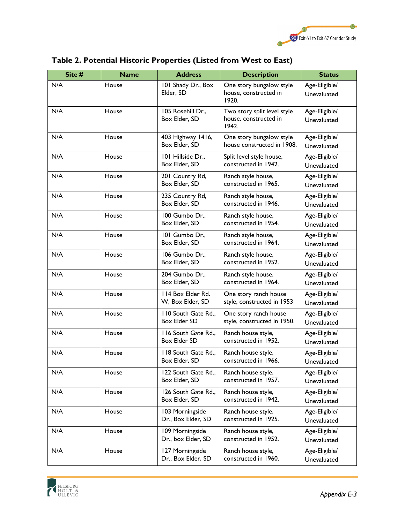

| Site # | <b>Name</b> | <b>Address</b>                        | <b>Description</b>                                            | <b>Status</b>                |
|--------|-------------|---------------------------------------|---------------------------------------------------------------|------------------------------|
| N/A    | House       | 101 Shady Dr., Box<br>Elder, SD       | One story bungalow style<br>house, constructed in<br>1920.    | Age-Eligible/<br>Unevaluated |
| N/A    | House       | 105 Rosehill Dr.,<br>Box Elder, SD    | Two story split level style<br>house, constructed in<br>1942. | Age-Eligible/<br>Unevaluated |
| N/A    | House       | 403 Highway 1416,<br>Box Elder, SD    | One story bungalow style<br>house constructed in 1908.        | Age-Eligible/<br>Unevaluated |
| N/A    | House       | 101 Hillside Dr.,<br>Box Elder, SD    | Split level style house,<br>constructed in 1942.              | Age-Eligible/<br>Unevaluated |
| N/A    | House       | 201 Country Rd,<br>Box Elder, SD      | Ranch style house,<br>constructed in 1965.                    | Age-Eligible/<br>Unevaluated |
| N/A    | House       | 235 Country Rd,<br>Box Elder, SD      | Ranch style house,<br>constructed in 1946.                    | Age-Eligible/<br>Unevaluated |
| N/A    | House       | 100 Gumbo Dr.,<br>Box Elder, SD       | Ranch style house,<br>constructed in 1954.                    | Age-Eligible/<br>Unevaluated |
| N/A    | House       | 101 Gumbo Dr.,<br>Box Elder, SD       | Ranch style house,<br>constructed in 1964.                    | Age-Eligible/<br>Unevaluated |
| N/A    | House       | 106 Gumbo Dr.,<br>Box Elder, SD       | Ranch style house,<br>constructed in 1952.                    | Age-Eligible/<br>Unevaluated |
| N/A    | House       | 204 Gumbo Dr.,<br>Box Elder, SD       | Ranch style house,<br>constructed in 1964.                    | Age-Eligible/<br>Unevaluated |
| N/A    | House       | 114 Box Elder Rd.<br>W, Box Elder, SD | One story ranch house<br>style, constructed in 1953           | Age-Eligible/<br>Unevaluated |
| N/A    | House       | 110 South Gate Rd.,<br>Box Elder SD   | One story ranch house<br>style, constructed in 1950.          | Age-Eligible/<br>Unevaluated |
| N/A    | House       | 116 South Gate Rd.,<br>Box Elder SD   | Ranch house style,<br>constructed in 1952.                    | Age-Eligible/<br>Unevaluated |
| N/A    | House       | 118 South Gate Rd.,<br>Box Elder, SD  | Ranch house style,<br>constructed in 1966.                    | Age-Eligible/<br>Unevaluated |
| N/A    | House       | 122 South Gate Rd.,<br>Box Elder, SD  | Ranch house style,<br>constructed in 1957.                    | Age-Eligible/<br>Unevaluated |
| N/A    | House       | 126 South Gate Rd.,<br>Box Elder, SD  | Ranch house style,<br>constructed in 1942.                    | Age-Eligible/<br>Unevaluated |
| N/A    | House       | 103 Morningside<br>Dr., Box Elder, SD | Ranch house style,<br>constructed in 1925.                    | Age-Eligible/<br>Unevaluated |
| N/A    | House       | 109 Morningside<br>Dr., box Elder, SD | Ranch house style,<br>constructed in 1952.                    | Age-Eligible/<br>Unevaluated |
| N/A    | House       | 127 Morningside<br>Dr., Box Elder, SD | Ranch house style,<br>constructed in 1960.                    | Age-Eligible/<br>Unevaluated |

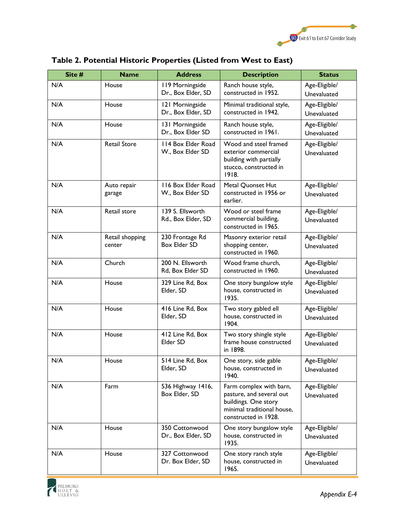

| Site # | <b>Name</b>               | <b>Address</b>                         | <b>Description</b>                                                                                                                | <b>Status</b>                |
|--------|---------------------------|----------------------------------------|-----------------------------------------------------------------------------------------------------------------------------------|------------------------------|
| N/A    | House                     | 119 Morningside<br>Dr., Box Elder, SD  | Ranch house style,<br>constructed in 1952.                                                                                        | Age-Eligible/<br>Unevaluated |
| N/A    | House                     | 121 Morningside<br>Dr., Box Elder, SD  | Minimal traditional style,<br>constructed in 1942.                                                                                | Age-Eligible/<br>Unevaluated |
| N/A    | House                     | 131 Morningside<br>Dr., Box Elder SD   | Ranch house style,<br>constructed in 1961.                                                                                        | Age-Eligible/<br>Unevaluated |
| N/A    | <b>Retail Store</b>       | 114 Box Elder Road<br>W., Box Elder SD | Wood and steel framed<br>exterior commercial<br>building with partially<br>stucco, constructed in<br>1918.                        | Age-Eligible/<br>Unevaluated |
| N/A    | Auto repair<br>garage     | 116 Box Elder Road<br>W., Box Elder SD | Metal Quonset Hut<br>constructed in 1956 or<br>earlier.                                                                           | Age-Eligible/<br>Unevaluated |
| N/A    | Retail store              | 139 S. Ellsworth<br>Rd., Box Elder, SD | Wood or steel frame<br>commercial building,<br>constructed in 1965.                                                               | Age-Eligible/<br>Unevaluated |
| N/A    | Retail shopping<br>center | 230 Frontage Rd<br><b>Box Elder SD</b> | Masonry exterior retail<br>shopping center,<br>constructed in 1960.                                                               | Age-Eligible/<br>Unevaluated |
| N/A    | Church                    | 200 N. Ellsworth<br>Rd, Box Elder SD   | Wood frame church,<br>constructed in 1960.                                                                                        | Age-Eligible/<br>Unevaluated |
| N/A    | House                     | 329 Line Rd, Box<br>Elder, SD          | One story bungalow style<br>house, constructed in<br>1935.                                                                        | Age-Eligible/<br>Unevaluated |
| N/A    | House                     | 416 Line Rd, Box<br>Elder, SD          | Two story gabled ell<br>house, constructed in<br>1904.                                                                            | Age-Eligible/<br>Unevaluated |
| N/A    | House                     | 412 Line Rd, Box<br>Elder SD           | Two story shingle style<br>frame house constructed<br>in 1898.                                                                    | Age-Eligible/<br>Unevaluated |
| N/A    | House                     | 514 Line Rd, Box<br>Elder, SD          | One story, side gable<br>house, constructed in<br>1940.                                                                           | Age-Eligible/<br>Unevaluated |
| N/A    | Farm                      | 536 Highway 1416,<br>Box Elder, SD     | Farm complex with barn,<br>pasture, and several out<br>buildings. One story<br>minimal traditional house,<br>constructed in 1928. | Age-Eligible/<br>Unevaluated |
| N/A    | House                     | 350 Cottonwood<br>Dr., Box Elder, SD   | One story bungalow style<br>house, constructed in<br>1935.                                                                        | Age-Eligible/<br>Unevaluated |
| N/A    | House                     | 327 Cottonwood<br>Dr. Box Elder, SD    | One story ranch style<br>house, constructed in<br>1965.                                                                           | Age-Eligible/<br>Unevaluated |

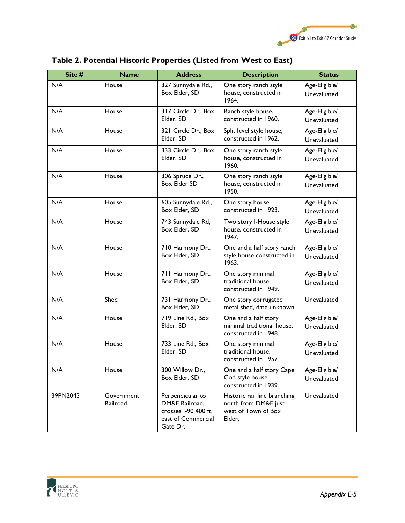

| Site #   | <b>Name</b>            | <b>Address</b>                                                                               | <b>Description</b>                                                                    | <b>Status</b>                |
|----------|------------------------|----------------------------------------------------------------------------------------------|---------------------------------------------------------------------------------------|------------------------------|
| N/A      | House                  | 327 Sunnydale Rd.,<br>Box Elder, SD                                                          | One story ranch style<br>house, constructed in<br>1964.                               | Age-Eligible/<br>Unevaluated |
| N/A      | House                  | 317 Circle Dr., Box<br>Elder, SD                                                             | Ranch style house,<br>constructed in 1960.                                            | Age-Eligible/<br>Unevaluated |
| N/A      | House                  | 321 Circle Dr., Box<br>Elder, SD                                                             | Split level style house,<br>constructed in 1962.                                      | Age-Eligible/<br>Unevaluated |
| N/A      | House                  | 333 Circle Dr., Box<br>Elder, SD                                                             | One story ranch style<br>house, constructed in<br>1960.                               | Age-Eligible/<br>Unevaluated |
| N/A      | House                  | 306 Spruce Dr.,<br>Box Elder SD                                                              | One story ranch style<br>house, constructed in<br>1950.                               | Age-Eligible/<br>Unevaluated |
| N/A      | House                  | 605 Sunnydale Rd.,<br>Box Elder, SD                                                          | One story house<br>constructed in 1923.                                               | Age-Eligible/<br>Unevaluated |
| N/A      | House                  | 743 Sunnydale Rd,<br>Box Elder, SD                                                           | Two story I-House style<br>house, constructed in<br>1947.                             | Age-Eligible/<br>Unevaluated |
| N/A      | House                  | 710 Harmony Dr.,<br>Box Elder, SD                                                            | One and a half story ranch<br>style house constructed in<br>1963.                     | Age-Eligible/<br>Unevaluated |
| N/A      | House                  | 711 Harmony Dr.,<br>Box Elder, SD                                                            | One story minimal<br>traditional house<br>constructed in 1949.                        | Age-Eligible/<br>Unevaluated |
| N/A      | Shed                   | 731 Harmony Dr.,<br>Box Elder, SD                                                            | One story corrugated<br>metal shed, date unknown.                                     | Unevaluated                  |
| N/A      | House                  | 719 Line Rd., Box<br>Elder, SD                                                               | One and a half story<br>minimal traditional house,<br>constructed in 1948.            | Age-Eligible/<br>Unevaluated |
| N/A      | House                  | 733 Line Rd., Box<br>Elder, SD                                                               | One story minimal<br>traditional house,<br>constructed in 1957.                       | Age-Eligible/<br>Unevaluated |
| N/A      | House                  | 300 Willow Dr.,<br>Box Elder, SD                                                             | One and a half story Cape<br>Cod style house,<br>constructed in 1939.                 | Age-Eligible/<br>Unevaluated |
| 39PN2043 | Government<br>Railroad | Perpendicular to<br>DM&E Railroad,<br>crosses I-90 400 ft.<br>east of Commercial<br>Gate Dr. | Historic rail line branching<br>north from DM&E just<br>west of Town of Box<br>Elder. | Unevaluated                  |

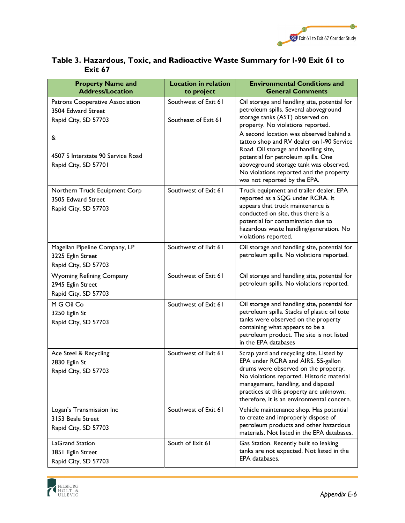

| <b>Property Name and</b><br><b>Address/Location</b>                           | <b>Location in relation</b><br>to project    | <b>Environmental Conditions and</b><br><b>General Comments</b>                                                                                                                                                                                                                                     |
|-------------------------------------------------------------------------------|----------------------------------------------|----------------------------------------------------------------------------------------------------------------------------------------------------------------------------------------------------------------------------------------------------------------------------------------------------|
| Patrons Cooperative Association<br>3504 Edward Street<br>Rapid City, SD 57703 | Southwest of Exit 61<br>Southeast of Exit 61 | Oil storage and handling site, potential for<br>petroleum spills. Several aboveground<br>storage tanks (AST) observed on<br>property. No violations reported.                                                                                                                                      |
| &<br>4507 S Interstate 90 Service Road<br>Rapid City, SD 57701                |                                              | A second location was observed behind a<br>tattoo shop and RV dealer on I-90 Service<br>Road. Oil storage and handling site,<br>potential for petroleum spills. One<br>aboveground storage tank was observed.<br>No violations reported and the property<br>was not reported by the EPA.           |
| Northern Truck Equipment Corp<br>3505 Edward Street<br>Rapid City, SD 57703   | Southwest of Exit 61                         | Truck equipment and trailer dealer. EPA<br>reported as a SQG under RCRA. It<br>appears that truck maintenance is<br>conducted on site, thus there is a<br>potential for contamination due to<br>hazardous waste handling/generation. No<br>violations reported.                                    |
| Magellan Pipeline Company, LP<br>3225 Eglin Street<br>Rapid City, SD 57703    | Southwest of Exit 61                         | Oil storage and handling site, potential for<br>petroleum spills. No violations reported.                                                                                                                                                                                                          |
| <b>Wyoming Refining Company</b><br>2945 Eglin Street<br>Rapid City, SD 57703  | Southwest of Exit 61                         | Oil storage and handling site, potential for<br>petroleum spills. No violations reported.                                                                                                                                                                                                          |
| M G Oil Co<br>3250 Eglin St<br>Rapid City, SD 57703                           | Southwest of Exit 61                         | Oil storage and handling site, potential for<br>petroleum spills. Stacks of plastic oil tote<br>tanks were observed on the property<br>containing what appears to be a<br>petroleum product. The site is not listed<br>in the EPA databases                                                        |
| Ace Steel & Recycling<br>2830 Eglin St<br>Rapid City, SD 57703                | Southwest of Exit 61                         | Scrap yard and recycling site. Listed by<br>EPA under RCRA and AIRS. 55-gallon<br>drums were observed on the property.<br>No violations reported. Historic material<br>management, handling, and disposal<br>practices at this property are unknown;<br>therefore, it is an environmental concern. |
| Logan's Transmission Inc<br>3153 Beale Street<br>Rapid City, SD 57703         | Southwest of Exit 61                         | Vehicle maintenance shop. Has potential<br>to create and improperly dispose of<br>petroleum products and other hazardous<br>materials. Not listed in the EPA databases.                                                                                                                            |
| <b>LaGrand Station</b><br>3851 Eglin Street<br>Rapid City, SD 57703           | South of Exit 61                             | Gas Station. Recently built so leaking<br>tanks are not expected. Not listed in the<br>EPA databases.                                                                                                                                                                                              |

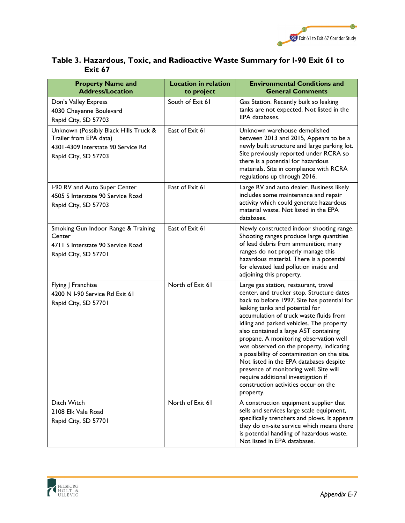

| <b>Property Name and</b><br><b>Address/Location</b>                                                                           | <b>Location in relation</b><br>to project | <b>Environmental Conditions and</b><br><b>General Comments</b>                                                                                                                                                                                                                                                                                                                                                                                                                                                                                                                                                             |
|-------------------------------------------------------------------------------------------------------------------------------|-------------------------------------------|----------------------------------------------------------------------------------------------------------------------------------------------------------------------------------------------------------------------------------------------------------------------------------------------------------------------------------------------------------------------------------------------------------------------------------------------------------------------------------------------------------------------------------------------------------------------------------------------------------------------------|
| Don's Valley Express<br>4030 Cheyenne Boulevard<br>Rapid City, SD 57703                                                       | South of Exit 61                          | Gas Station. Recently built so leaking<br>tanks are not expected. Not listed in the<br>EPA databases.                                                                                                                                                                                                                                                                                                                                                                                                                                                                                                                      |
| Unknown (Possibly Black Hills Truck &<br>Trailer from EPA data)<br>4301-4309 Interstate 90 Service Rd<br>Rapid City, SD 57703 | East of Exit 61                           | Unknown warehouse demolished<br>between 2013 and 2015, Appears to be a<br>newly built structure and large parking lot.<br>Site previously reported under RCRA so<br>there is a potential for hazardous<br>materials. Site in compliance with RCRA<br>regulations up through 2016.                                                                                                                                                                                                                                                                                                                                          |
| I-90 RV and Auto Super Center<br>4505 S Interstate 90 Service Road<br>Rapid City, SD 57703                                    | East of Exit 61                           | Large RV and auto dealer. Business likely<br>includes some maintenance and repair<br>activity which could generate hazardous<br>material waste. Not listed in the EPA<br>databases.                                                                                                                                                                                                                                                                                                                                                                                                                                        |
| Smoking Gun Indoor Range & Training<br>Center<br>4711 S Interstate 90 Service Road<br>Rapid City, SD 57701                    | East of Exit 61                           | Newly constructed indoor shooting range.<br>Shooting ranges produce large quantities<br>of lead debris from ammunition; many<br>ranges do not properly manage this<br>hazardous material. There is a potential<br>for elevated lead pollution inside and<br>adjoining this property.                                                                                                                                                                                                                                                                                                                                       |
| Flying J Franchise<br>4200 N I-90 Service Rd Exit 61<br>Rapid City, SD 57701                                                  | North of Exit 61                          | Large gas station, restaurant, travel<br>center, and trucker stop. Structure dates<br>back to before 1997. Site has potential for<br>leaking tanks and potential for<br>accumulation of truck waste fluids from<br>idling and parked vehicles. The property<br>also contained a large AST containing<br>propane. A monitoring observation well<br>was observed on the property, indicating<br>a possibility of contamination on the site.<br>Not listed in the EPA databases despite<br>presence of monitoring well. Site will<br>require additional investigation if<br>construction activities occur on the<br>property. |
| <b>Ditch Witch</b><br>2108 Elk Vale Road<br>Rapid City, SD 57701                                                              | North of Exit 61                          | A construction equipment supplier that<br>sells and services large scale equipment,<br>specifically trenchers and plows. It appears<br>they do on-site service which means there<br>is potential handling of hazardous waste.<br>Not listed in EPA databases.                                                                                                                                                                                                                                                                                                                                                              |

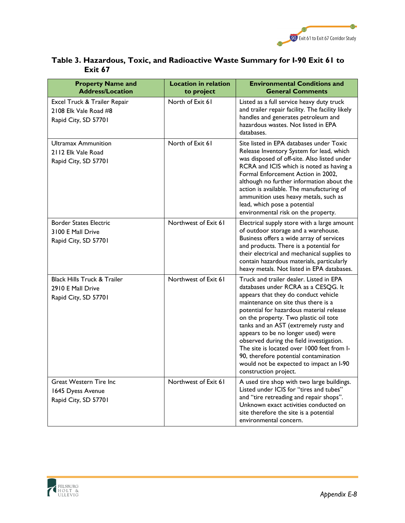

| <b>Property Name and</b><br><b>Address/Location</b>                                 | <b>Location in relation</b><br>to project | <b>Environmental Conditions and</b><br><b>General Comments</b>                                                                                                                                                                                                                                                                                                                                                                                                                                                                           |
|-------------------------------------------------------------------------------------|-------------------------------------------|------------------------------------------------------------------------------------------------------------------------------------------------------------------------------------------------------------------------------------------------------------------------------------------------------------------------------------------------------------------------------------------------------------------------------------------------------------------------------------------------------------------------------------------|
| Excel Truck & Trailer Repair<br>2108 Elk Vale Road #8<br>Rapid City, SD 57701       | North of Exit 61                          | Listed as a full service heavy duty truck<br>and trailer repair facility. The facility likely<br>handles and generates petroleum and<br>hazardous wastes. Not listed in EPA<br>databases.                                                                                                                                                                                                                                                                                                                                                |
| Ultramax Ammunition<br>2112 Elk Vale Road<br>Rapid City, SD 57701                   | North of Exit 61                          | Site listed in EPA databases under Toxic<br>Release Inventory System for lead, which<br>was disposed of off-site. Also listed under<br>RCRA and ICIS which is noted as having a<br>Formal Enforcement Action in 2002,<br>although no further information about the<br>action is available. The manufacturing of<br>ammunition uses heavy metals, such as<br>lead, which pose a potential<br>environmental risk on the property.                                                                                                          |
| <b>Border States Electric</b><br>3100 E Mall Drive<br>Rapid City, SD 57701          | Northwest of Exit 61                      | Electrical supply store with a large amount<br>of outdoor storage and a warehouse.<br>Business offers a wide array of services<br>and products. There is a potential for<br>their electrical and mechanical supplies to<br>contain hazardous materials, particularly<br>heavy metals. Not listed in EPA databases.                                                                                                                                                                                                                       |
| <b>Black Hills Truck &amp; Trailer</b><br>2910 E Mall Drive<br>Rapid City, SD 57701 | Northwest of Exit 61                      | Truck and trailer dealer. Listed in EPA<br>databases under RCRA as a CESQG. It<br>appears that they do conduct vehicle<br>maintenance on site thus there is a<br>potential for hazardous material release<br>on the property. Two plastic oil tote<br>tanks and an AST (extremely rusty and<br>appears to be no longer used) were<br>observed during the field investigation.<br>The site is located over 1000 feet from I-<br>90, therefore potential contamination<br>would not be expected to impact an I-90<br>construction project. |
| Great Western Tire Inc<br>1645 Dyess Avenue<br>Rapid City, SD 57701                 | Northwest of Exit 61                      | A used tire shop with two large buildings.<br>Listed under ICIS for "tires and tubes"<br>and "tire retreading and repair shops".<br>Unknown exact activities conducted on<br>site therefore the site is a potential<br>environmental concern.                                                                                                                                                                                                                                                                                            |

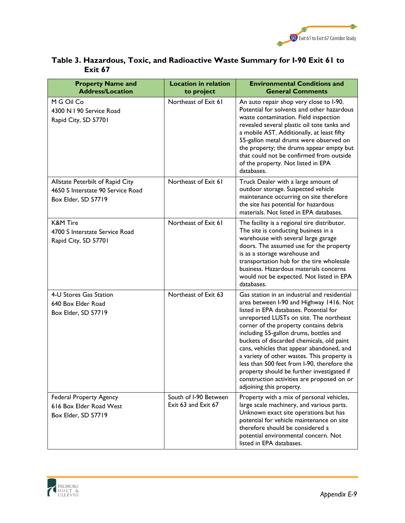

| <b>Property Name and</b><br><b>Address/Location</b>                                          | <b>Location in relation</b><br>to project    | <b>Environmental Conditions and</b><br><b>General Comments</b>                                                                                                                                                                                                                                                                                                                                                                                                                                                                                                                   |
|----------------------------------------------------------------------------------------------|----------------------------------------------|----------------------------------------------------------------------------------------------------------------------------------------------------------------------------------------------------------------------------------------------------------------------------------------------------------------------------------------------------------------------------------------------------------------------------------------------------------------------------------------------------------------------------------------------------------------------------------|
| M G Oil Co<br>4300 N I 90 Service Road<br>Rapid City, SD 57701                               | Northeast of Exit 61                         | An auto repair shop very close to I-90.<br>Potential for solvents and other hazardous<br>waste contamination. Field inspection<br>revealed several plastic oil tote tanks and<br>a mobile AST. Additionally, at least fifty<br>55-gallon metal drums were observed on<br>the property; the drums appear empty but<br>that could not be confirmed from outside<br>of the property. Not listed in EPA<br>databases.                                                                                                                                                                |
| Allstate Peterbilt of Rapid City<br>4650 S Interstate 90 Service Road<br>Box Elder, SD 57719 | Northeast of Exit 61                         | Truck Dealer with a large amount of<br>outdoor storage. Suspected vehicle<br>maintenance occurring on site therefore<br>the site has potential for hazardous<br>materials. Not listed in EPA databases.                                                                                                                                                                                                                                                                                                                                                                          |
| <b>K&amp;M Tire</b><br>4700 S Interstate Service Road<br>Rapid City, SD 57701                | Northeast of Exit 61                         | The facility is a regional tire distributor.<br>The site is conducting business in a<br>warehouse with several large garage<br>doors. The assumed use for the property<br>is as a storage warehouse and<br>transportation hub for the tire wholesale<br>business. Hazardous materials concerns<br>would not be expected. Not listed in EPA<br>databases.                                                                                                                                                                                                                         |
| 4-U Stores Gas Station<br>640 Box Elder Road<br>Box Elder, SD 57719                          | Northeast of Exit 63                         | Gas station in an industrial and residential<br>area between I-90 and Highway 1416. Not<br>listed in EPA databases. Potential for<br>unreported LUSTs on site. The northeast<br>corner of the property contains debris<br>including 55-gallon drums, bottles and<br>buckets of discarded chemicals, old paint<br>cans, vehicles that appear abandoned, and<br>a variety of other wastes. This property is<br>less than 500 feet from I-90, therefore the<br>property should be further investigated if<br>construction activities are proposed on or<br>adjoining this property. |
| <b>Federal Property Agency</b><br>616 Box Elder Road West<br>Box Elder, SD 57719             | South of I-90 Between<br>Exit 63 and Exit 67 | Property with a mix of personal vehicles,<br>large scale machinery, and various parts.<br>Unknown exact site operations but has<br>potential for vehicle maintenance on site<br>therefore should be considered a<br>potential environmental concern. Not<br>listed in EPA databases.                                                                                                                                                                                                                                                                                             |

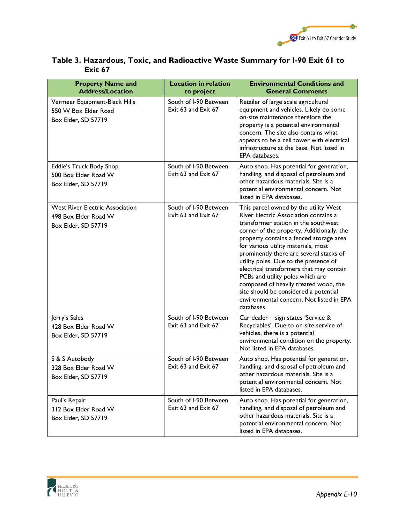

| <b>Property Name and</b><br><b>Address/Location</b>                                   | <b>Location in relation</b><br>to project    | <b>Environmental Conditions and</b><br><b>General Comments</b>                                                                                                                                                                                                                                                                                                                                                                                                                                                                                                        |
|---------------------------------------------------------------------------------------|----------------------------------------------|-----------------------------------------------------------------------------------------------------------------------------------------------------------------------------------------------------------------------------------------------------------------------------------------------------------------------------------------------------------------------------------------------------------------------------------------------------------------------------------------------------------------------------------------------------------------------|
| Vermeer Equipment-Black Hills<br>550 W Box Elder Road<br>Box Elder, SD 57719          | South of I-90 Between<br>Exit 63 and Exit 67 | Retailer of large scale agricultural<br>equipment and vehicles. Likely do some<br>on-site maintenance therefore the<br>property is a potential environmental<br>concern. The site also contains what<br>appears to be a cell tower with electrical<br>infrastructure at the base. Not listed in<br>EPA databases.                                                                                                                                                                                                                                                     |
| Eddie's Truck Body Shop<br>500 Box Elder Road W<br>Box Elder, SD 57719                | South of I-90 Between<br>Exit 63 and Exit 67 | Auto shop. Has potential for generation,<br>handling, and disposal of petroleum and<br>other hazardous materials. Site is a<br>potential environmental concern. Not<br>listed in EPA databases.                                                                                                                                                                                                                                                                                                                                                                       |
| <b>West River Electric Association</b><br>498 Box Elder Road W<br>Box Elder, SD 57719 | South of I-90 Between<br>Exit 63 and Exit 67 | This parcel owned by the utility West<br>River Electric Association contains a<br>transformer station in the southwest<br>corner of the property. Additionally, the<br>property contains a fenced storage area<br>for various utility materials, most<br>prominently there are several stacks of<br>utility poles. Due to the presence of<br>electrical transformers that may contain<br>PCBs and utility poles which are<br>composed of heavily treated wood, the<br>site should be considered a potential<br>environmental concern. Not listed in EPA<br>databases. |
| Jerry's Sales<br>428 Box Elder Road W<br>Box Elder, SD 57719                          | South of I-90 Between<br>Exit 63 and Exit 67 | Car dealer - sign states 'Service &<br>Recyclables'. Due to on-site service of<br>vehicles, there is a potential<br>environmental condition on the property.<br>Not listed in EPA databases.                                                                                                                                                                                                                                                                                                                                                                          |
| S & S Autobody<br>328 Box Elder Road W<br>Box Elder, SD 57719                         | South of I-90 Between<br>Exit 63 and Exit 67 | Auto shop. Has potential for generation,<br>handling, and disposal of petroleum and<br>other hazardous materials. Site is a<br>potential environmental concern. Not<br>listed in EPA databases.                                                                                                                                                                                                                                                                                                                                                                       |
| Paul's Repair<br>312 Box Elder Road W<br>Box Elder, SD 57719                          | South of I-90 Between<br>Exit 63 and Exit 67 | Auto shop. Has potential for generation,<br>handling, and disposal of petroleum and<br>other hazardous materials. Site is a<br>potential environmental concern. Not<br>listed in EPA databases.                                                                                                                                                                                                                                                                                                                                                                       |

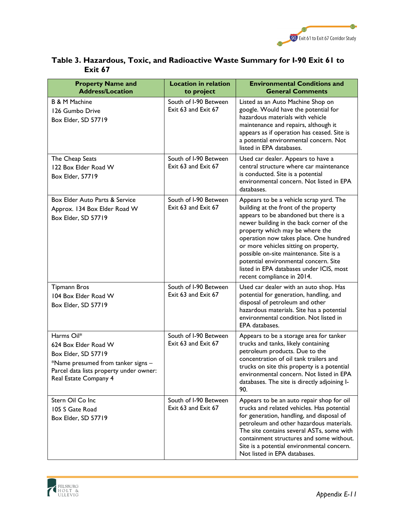

| <b>Property Name and</b><br><b>Address/Location</b>                                                                                                                 | <b>Location in relation</b><br>to project    | <b>Environmental Conditions and</b><br><b>General Comments</b>                                                                                                                                                                                                                                                                                                                                                                                             |
|---------------------------------------------------------------------------------------------------------------------------------------------------------------------|----------------------------------------------|------------------------------------------------------------------------------------------------------------------------------------------------------------------------------------------------------------------------------------------------------------------------------------------------------------------------------------------------------------------------------------------------------------------------------------------------------------|
| <b>B &amp; M Machine</b><br>126 Gumbo Drive<br>Box Elder, SD 57719                                                                                                  | South of I-90 Between<br>Exit 63 and Exit 67 | Listed as an Auto Machine Shop on<br>google. Would have the potential for<br>hazardous materials with vehicle<br>maintenance and repairs, although it<br>appears as if operation has ceased. Site is<br>a potential environmental concern. Not<br>listed in EPA databases.                                                                                                                                                                                 |
| The Cheap Seats<br>122 Box Elder Road W<br>Box Elder, 57719                                                                                                         | South of I-90 Between<br>Exit 63 and Exit 67 | Used car dealer. Appears to have a<br>central structure where car maintenance<br>is conducted. Site is a potential<br>environmental concern. Not listed in EPA<br>databases.                                                                                                                                                                                                                                                                               |
| Box Elder Auto Parts & Service<br>Approx. 134 Box Elder Road W<br>Box Elder, SD 57719                                                                               | South of I-90 Between<br>Exit 63 and Exit 67 | Appears to be a vehicle scrap yard. The<br>building at the front of the property<br>appears to be abandoned but there is a<br>newer building in the back corner of the<br>property which may be where the<br>operation now takes place. One hundred<br>or more vehicles sitting on property,<br>possible on-site maintenance. Site is a<br>potential environmental concern. Site<br>listed in EPA databases under ICIS, most<br>recent compliance in 2014. |
| <b>Tipmann Bros</b><br>104 Box Elder Road W<br>Box Elder, SD 57719                                                                                                  | South of I-90 Between<br>Exit 63 and Exit 67 | Used car dealer with an auto shop. Has<br>potential for generation, handling, and<br>disposal of petroleum and other<br>hazardous materials. Site has a potential<br>environmental condition. Not listed in<br>EPA databases.                                                                                                                                                                                                                              |
| Harms Oil*<br>624 Box Elder Road W<br>Box Elder, SD 57719<br>*Name presumed from tanker signs -<br>Parcel data lists property under owner:<br>Real Estate Company 4 | South of I-90 Between<br>Exit 63 and Exit 67 | Appears to be a storage area for tanker<br>trucks and tanks, likely containing<br>petroleum products. Due to the<br>concentration of oil tank trailers and<br>trucks on site this property is a potential<br>environmental concern. Not listed in EPA<br>databases. The site is directly adjoining I-<br>90.                                                                                                                                               |
| Stern Oil Co Inc<br>105 S Gate Road<br>Box Elder, SD 57719                                                                                                          | South of I-90 Between<br>Exit 63 and Exit 67 | Appears to be an auto repair shop for oil<br>trucks and related vehicles. Has potential<br>for generation, handling, and disposal of<br>petroleum and other hazardous materials.<br>The site contains several ASTs, some with<br>containment structures and some without.<br>Site is a potential environmental concern.<br>Not listed in EPA databases.                                                                                                    |

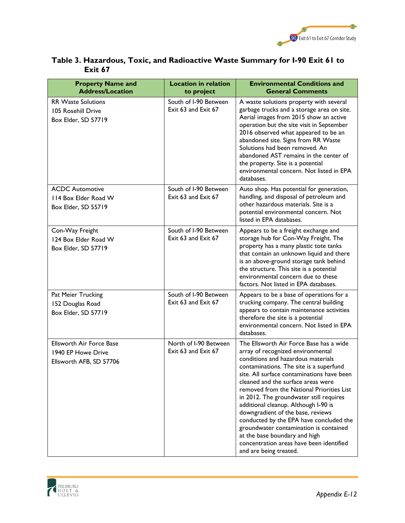

| <b>Property Name and</b><br><b>Address/Location</b>                              | <b>Location in relation</b><br>to project    | <b>Environmental Conditions and</b><br><b>General Comments</b>                                                                                                                                                                                                                                                                                                                                                                                                                                                                                                                                                     |
|----------------------------------------------------------------------------------|----------------------------------------------|--------------------------------------------------------------------------------------------------------------------------------------------------------------------------------------------------------------------------------------------------------------------------------------------------------------------------------------------------------------------------------------------------------------------------------------------------------------------------------------------------------------------------------------------------------------------------------------------------------------------|
| <b>RR Waste Solutions</b><br>105 Rosehill Drive<br>Box Elder, SD 57719           | South of I-90 Between<br>Exit 63 and Exit 67 | A waste solutions property with several<br>garbage trucks and a storage area on site.<br>Aerial images from 2015 show an active<br>operation but the site visit in September<br>2016 observed what appeared to be an<br>abandoned site. Signs from RR Waste<br>Solutions had been removed. An<br>abandoned AST remains in the center of<br>the property. Site is a potential<br>environmental concern. Not listed in EPA<br>databases.                                                                                                                                                                             |
| <b>ACDC Automotive</b><br>114 Box Elder Road W<br>Box Elder, SD 55719            | South of I-90 Between<br>Exit 63 and Exit 67 | Auto shop. Has potential for generation,<br>handling, and disposal of petroleum and<br>other hazardous materials. Site is a<br>potential environmental concern. Not<br>listed in EPA databases.                                                                                                                                                                                                                                                                                                                                                                                                                    |
| Con-Way Freight<br>124 Box Elder Road W<br>Box Elder, SD 57719                   | South of I-90 Between<br>Exit 63 and Exit 67 | Appears to be a freight exchange and<br>storage hub for Con-Way Freight. The<br>property has a many plastic tote tanks<br>that contain an unknown liquid and there<br>is an above-ground storage tank behind<br>the structure. This site is a potential<br>environmental concern due to these<br>factors. Not listed in EPA databases.                                                                                                                                                                                                                                                                             |
| Pat Meier Trucking<br>152 Douglas Road<br>Box Elder, SD 57719                    | South of I-90 Between<br>Exit 63 and Exit 67 | Appears to be a base of operations for a<br>trucking company. The central building<br>appears to contain maintenance activities<br>therefore the site is a potential<br>environmental concern. Not listed in EPA<br>databases.                                                                                                                                                                                                                                                                                                                                                                                     |
| <b>Ellsworth Air Force Base</b><br>1940 EP Howe Drive<br>Ellsworth AFB, SD 57706 | North of I-90 Between<br>Exit 63 and Exit 67 | The Ellsworth Air Force Base has a wide<br>array of recognized environmental<br>conditions and hazardous materials<br>contaminations. The site is a superfund<br>site. All surface contaminations have been<br>cleaned and the surface areas were<br>removed from the National Priorities List<br>in 2012. The groundwater still requires<br>additional cleanup. Although I-90 is<br>downgradient of the base, reviews<br>conducted by the EPA have concluded the<br>groundwater contamination is contained<br>at the base boundary and high<br>concentration areas have been identified<br>and are being treated. |

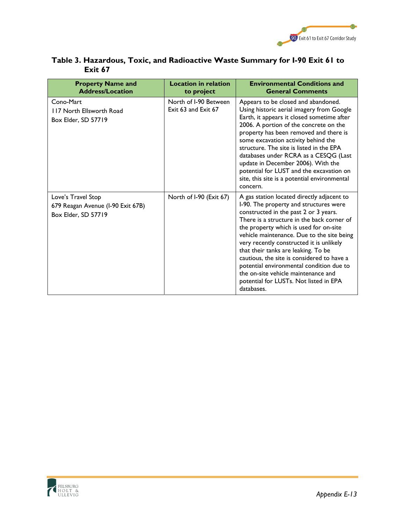

| <b>Property Name and</b><br><b>Address/Location</b>                            | <b>Location in relation</b><br>to project    | <b>Environmental Conditions and</b><br><b>General Comments</b>                                                                                                                                                                                                                                                                                                                                                                                                                                                                                  |
|--------------------------------------------------------------------------------|----------------------------------------------|-------------------------------------------------------------------------------------------------------------------------------------------------------------------------------------------------------------------------------------------------------------------------------------------------------------------------------------------------------------------------------------------------------------------------------------------------------------------------------------------------------------------------------------------------|
| Cono-Mart<br>117 North Ellsworth Road<br>Box Elder, SD 57719                   | North of I-90 Between<br>Exit 63 and Exit 67 | Appears to be closed and abandoned.<br>Using historic aerial imagery from Google<br>Earth, it appears it closed sometime after<br>2006. A portion of the concrete on the<br>property has been removed and there is<br>some excavation activity behind the<br>structure. The site is listed in the EPA<br>databases under RCRA as a CESQG (Last<br>update in December 2006). With the<br>potential for LUST and the excavation on<br>site, this site is a potential environmental<br>concern.                                                    |
| Love's Travel Stop<br>679 Reagan Avenue (I-90 Exit 67B)<br>Box Elder, SD 57719 | North of I-90 (Exit 67)                      | A gas station located directly adjacent to<br>I-90. The property and structures were<br>constructed in the past 2 or 3 years.<br>There is a structure in the back corner of<br>the property which is used for on-site<br>vehicle maintenance. Due to the site being<br>very recently constructed it is unlikely<br>that their tanks are leaking. To be<br>cautious, the site is considered to have a<br>potential environmental condition due to<br>the on-site vehicle maintenance and<br>potential for LUSTs. Not listed in EPA<br>databases. |

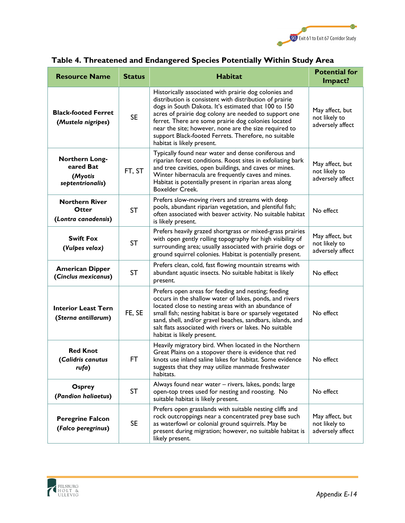

| <b>Resource Name</b>                                       | <b>Status</b>                                                                                                                                                                                                                                                      | <b>Habitat</b>                                                                                                                                                                                                                                                                                                                                                                                                                                                                                  | <b>Potential for</b><br>Impact?                      |
|------------------------------------------------------------|--------------------------------------------------------------------------------------------------------------------------------------------------------------------------------------------------------------------------------------------------------------------|-------------------------------------------------------------------------------------------------------------------------------------------------------------------------------------------------------------------------------------------------------------------------------------------------------------------------------------------------------------------------------------------------------------------------------------------------------------------------------------------------|------------------------------------------------------|
| <b>Black-footed Ferret</b><br>(Mustela nigripes)           | <b>SE</b>                                                                                                                                                                                                                                                          | Historically associated with prairie dog colonies and<br>distribution is consistent with distribution of prairie<br>dogs in South Dakota. It's estimated that 100 to 150<br>May affect, but<br>acres of prairie dog colony are needed to support one<br>not likely to<br>ferret. There are some prairie dog colonies located<br>adversely affect<br>near the site; however, none are the size required to<br>support Black-footed Ferrets. Therefore, no suitable<br>habitat is likely present. |                                                      |
| Northern Long-<br>eared Bat<br>(Myotis<br>septentrionalis) | FT, ST                                                                                                                                                                                                                                                             | Typically found near water and dense coniferous and<br>riparian forest conditions. Roost sites in exfoliating bark<br>and tree cavities, open buildings, and caves or mines.<br>Winter hibernacula are frequently caves and mines.<br>Habitat is potentially present in riparian areas along<br><b>Boxelder Creek.</b>                                                                                                                                                                          | May affect, but<br>not likely to<br>adversely affect |
| <b>Northern River</b><br>Otter<br>(Lontra canadensis)      | <b>ST</b>                                                                                                                                                                                                                                                          | Prefers slow-moving rivers and streams with deep<br>pools, abundant riparian vegetation, and plentiful fish;<br>often associated with beaver activity. No suitable habitat<br>is likely present.                                                                                                                                                                                                                                                                                                | No effect                                            |
| <b>Swift Fox</b><br>(Vulpes velox)                         | <b>ST</b>                                                                                                                                                                                                                                                          | Prefers heavily grazed shortgrass or mixed-grass prairies<br>May affect, but<br>with open gently rolling topography for high visibility of<br>not likely to<br>surrounding area; usually associated with prairie dogs or<br>adversely affect<br>ground squirrel colonies. Habitat is potentially present.                                                                                                                                                                                       |                                                      |
| <b>American Dipper</b><br>(Cinclus mexicanus)              | <b>ST</b>                                                                                                                                                                                                                                                          | Prefers clean, cold, fast flowing mountain streams with<br>abundant aquatic insects. No suitable habitat is likely<br>present.                                                                                                                                                                                                                                                                                                                                                                  | No effect                                            |
| <b>Interior Least Tern</b><br>(Sterna antillarum)          | FE, SE                                                                                                                                                                                                                                                             | Prefers open areas for feeding and nesting; feeding<br>occurs in the shallow water of lakes, ponds, and rivers<br>located close to nesting areas with an abundance of<br>small fish; nesting habitat is bare or sparsely vegetated<br>sand, shell, and/or gravel beaches, sandbars, islands, and<br>salt flats associated with rivers or lakes. No suitable<br>habitat is likely present.                                                                                                       | No effect                                            |
| <b>Red Knot</b><br>(Calidris canutus<br>rufa)              | <b>FT</b>                                                                                                                                                                                                                                                          | Heavily migratory bird. When located in the Northern<br>Great Plains on a stopover there is evidence that red<br>knots use inland saline lakes for habitat. Some evidence<br>No effect<br>suggests that they may utilize manmade freshwater<br>habitats.                                                                                                                                                                                                                                        |                                                      |
| Osprey<br>(Pandion haliaetus)                              | <b>ST</b>                                                                                                                                                                                                                                                          | Always found near water - rivers, lakes, ponds; large<br>No effect<br>open-top trees used for nesting and roosting. No<br>suitable habitat is likely present.                                                                                                                                                                                                                                                                                                                                   |                                                      |
| <b>Peregrine Falcon</b><br>(Falco peregrinus)              | Prefers open grasslands with suitable nesting cliffs and<br>rock outcroppings near a concentrated prey base such<br><b>SE</b><br>as waterfowl or colonial ground squirrels. May be<br>present during migration; however, no suitable habitat is<br>likely present. |                                                                                                                                                                                                                                                                                                                                                                                                                                                                                                 | May affect, but<br>not likely to<br>adversely affect |

# **Table 4. Threatened and Endangered Species Potentially Within Study Area**

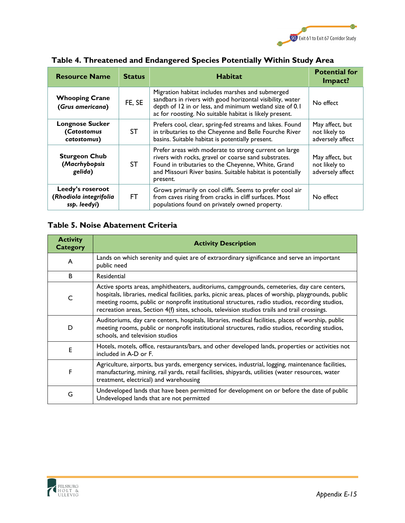

| <b>Resource Name</b>                                       | <b>Status</b> | <b>Habitat</b>                                                                                                                                                                                                                                | <b>Potential for</b><br>Impact?                      |
|------------------------------------------------------------|---------------|-----------------------------------------------------------------------------------------------------------------------------------------------------------------------------------------------------------------------------------------------|------------------------------------------------------|
| <b>Whooping Crane</b><br>(Grus americana)                  | FE, SE        | Migration habitat includes marshes and submerged<br>sandbars in rivers with good horizontal visibility, water<br>depth of 12 in or less, and minimum wetland size of 0.1<br>ac for roosting. No suitable habitat is likely present.           | No effect                                            |
| <b>Longnose Sucker</b><br>(Catostomus<br>catostomus)       | <b>ST</b>     | Prefers cool, clear, spring-fed streams and lakes. Found<br>in tributaries to the Cheyenne and Belle Fourche River<br>basins. Suitable habitat is potentially present.                                                                        | May affect, but<br>not likely to<br>adversely affect |
| <b>Sturgeon Chub</b><br>(Macrhybopsis<br>gelida)           | <b>ST</b>     | Prefer areas with moderate to strong current on large<br>rivers with rocks, gravel or coarse sand substrates.<br>Found in tributaries to the Cheyenne, White, Grand<br>and Missouri River basins. Suitable habitat is potentially<br>present. | May affect, but<br>not likely to<br>adversely affect |
| Leedy's roseroot<br>(Rhodiola integrifolia<br>ssp. leedyi) | FT.           | Grows primarily on cool cliffs. Seems to prefer cool air<br>from caves rising from cracks in cliff surfaces. Most<br>populations found on privately owned property.                                                                           | No effect                                            |

### **Table 4. Threatened and Endangered Species Potentially Within Study Area**

### **Table 5. Noise Abatement Criteria**

| <b>Activity</b><br>Category | <b>Activity Description</b>                                                                                                                                                                                                                                                                                                                                                                             |
|-----------------------------|---------------------------------------------------------------------------------------------------------------------------------------------------------------------------------------------------------------------------------------------------------------------------------------------------------------------------------------------------------------------------------------------------------|
| A                           | Lands on which serenity and quiet are of extraordinary significance and serve an important<br>public need                                                                                                                                                                                                                                                                                               |
| B                           | Residential                                                                                                                                                                                                                                                                                                                                                                                             |
| C                           | Active sports areas, amphitheaters, auditoriums, campgrounds, cemeteries, day care centers,<br>hospitals, libraries, medical facilities, parks, picnic areas, places of worship, playgrounds, public<br>meeting rooms, public or nonprofit institutional structures, radio studios, recording studios,<br>recreation areas, Section 4(f) sites, schools, television studios trails and trail crossings. |
| D                           | Auditoriums, day care centers, hospitals, libraries, medical facilities, places of worship, public<br>meeting rooms, public or nonprofit institutional structures, radio studios, recording studios,<br>schools, and television studios                                                                                                                                                                 |
| Е                           | Hotels, motels, office, restaurants/bars, and other developed lands, properties or activities not<br>included in A-D or F.                                                                                                                                                                                                                                                                              |
| F                           | Agriculture, airports, bus yards, emergency services, industrial, logging, maintenance facilities,<br>manufacturing, mining, rail yards, retail facilities, shipyards, utilities (water resources, water<br>treatment, electrical) and warehousing                                                                                                                                                      |
| G                           | Undeveloped lands that have been permitted for development on or before the date of public<br>Undeveloped lands that are not permitted                                                                                                                                                                                                                                                                  |

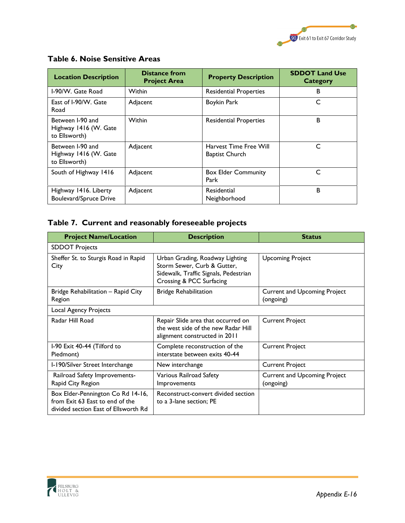

| <b>Location Description</b>                                | <b>Distance from</b><br><b>Project Area</b> | <b>Property Description</b>                     | <b>SDDOT Land Use</b><br><b>Category</b> |
|------------------------------------------------------------|---------------------------------------------|-------------------------------------------------|------------------------------------------|
| I-90/W. Gate Road                                          | <b>Within</b>                               | <b>Residential Properties</b>                   | в                                        |
| East of I-90/W. Gate<br>Road                               | Adjacent                                    | Boykin Park                                     | C                                        |
| Between I-90 and<br>Highway 1416 (W. Gate<br>to Ellsworth) | <b>Within</b>                               | <b>Residential Properties</b>                   | B                                        |
| Between I-90 and<br>Highway 1416 (W. Gate<br>to Ellsworth) | Adjacent                                    | Harvest Time Free Will<br><b>Baptist Church</b> | C                                        |
| South of Highway 1416                                      | Adjacent                                    | <b>Box Elder Community</b><br>Park              | C                                        |
| Highway 1416. Liberty<br><b>Boulevard/Spruce Drive</b>     | Adjacent                                    | Residential<br>Neighborhood                     | B                                        |

### **Table 6. Noise Sensitive Areas**

### **Table 7. Current and reasonably foreseeable projects**

| <b>Project Name/Location</b>                                                                                 | <b>Description</b>                                                                                                                  | <b>Status</b>                                    |  |
|--------------------------------------------------------------------------------------------------------------|-------------------------------------------------------------------------------------------------------------------------------------|--------------------------------------------------|--|
| <b>SDDOT Projects</b>                                                                                        |                                                                                                                                     |                                                  |  |
| Sheffer St. to Sturgis Road in Rapid<br>City                                                                 | Urban Grading, Roadway Lighting<br>Storm Sewer, Curb & Gutter,<br>Sidewalk, Traffic Signals, Pedestrian<br>Crossing & PCC Surfacing | <b>Upcoming Project</b>                          |  |
| Bridge Rehabilitation - Rapid City<br>Region                                                                 | <b>Bridge Rehabilitation</b>                                                                                                        | <b>Current and Upcoming Project</b><br>(ongoing) |  |
| Local Agency Projects                                                                                        |                                                                                                                                     |                                                  |  |
| Radar Hill Road                                                                                              | Repair Slide area that occurred on<br>the west side of the new Radar Hill<br>alignment constructed in 2011                          | <b>Current Project</b>                           |  |
| I-90 Exit 40-44 (Tilford to<br>Piedmont)                                                                     | Complete reconstruction of the<br>interstate between exits 40-44                                                                    | <b>Current Project</b>                           |  |
| I-190/Silver Street Interchange                                                                              | New interchange                                                                                                                     | <b>Current Project</b>                           |  |
| Railroad Safety Improvements-<br>Rapid City Region                                                           | Various Railroad Safety<br><b>Improvements</b>                                                                                      | <b>Current and Upcoming Project</b><br>(ongoing) |  |
| Box Elder-Pennington Co Rd 14-16,<br>from Exit 63 East to end of the<br>divided section East of Ellsworth Rd | Reconstruct-convert divided section<br>to a 3-lane section; PE                                                                      |                                                  |  |